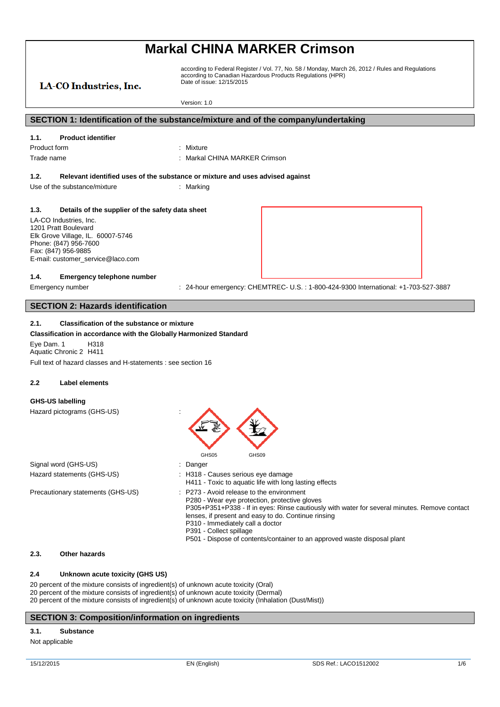# LA-CO Industries, Inc.

according to Federal Register / Vol. 77, No. 58 / Monday, March 26, 2012 / Rules and Regulations according to Canadian Hazardous Products Regulations (HPR) Date of issue: 12/15/2015

Version: 1.0

# **SECTION 1: Identification of the substance/mixture and of the company/undertaking**

### **1.1. Product identifier**

Product form : Nixture

Trade name **in the set of the set of the set of the set of the set of the set of the set of the set of the set of the set of the set of the set of the set of the set of the set of the set of the set of the set of the set o** 

### **1.2. Relevant identified uses of the substance or mixture and uses advised against**

Use of the substance/mixture in the substance in the set of the substance of the substance in the set of the substance of the substance of the substance of the substance of the substance of the substance of the substance o

#### **1.3. Details of the supplier of the safety data sheet**

LA-CO Industries, Inc. 1201 Pratt Boulevard Elk Grove Village, IL. 60007-5746 Phone: (847) 956-7600 Fax: (847) 956-9885 E-mail: customer\_service@laco.com

#### **1.4. Emergency telephone number**

Emergency number : 24-hour emergency: CHEMTREC- U.S.: 1-800-424-9300 International: +1-703-527-3887

## **SECTION 2: Hazards identification**

#### **2.1. Classification of the substance or mixture**

**Classification in accordance with the Globally Harmonized Standard** Eye Dam. 1 H318 Aquatic Chronic 2 H411 Full text of hazard classes and H-statements : see section 16

#### **2.2 Label elements**

### **GHS-US labelling**

Hazard pictograms (GHS-US) :



#### **2.3. Other hazards**

### **2.4 Unknown acute toxicity (GHS US)**

20 percent of the mixture consists of ingredient(s) of unknown acute toxicity (Oral) 20 percent of the mixture consists of ingredient(s) of unknown acute toxicity (Dermal) 20 percent of the mixture consists of ingredient(s) of unknown acute toxicity (Inhalation (Dust/Mist))

### **SECTION 3: Composition/information on ingredients**

#### **3.1. Substance**

Not applicable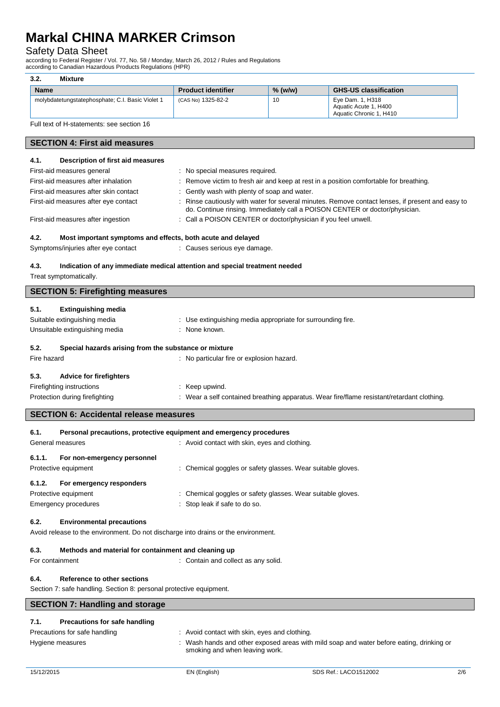# Safety Data Sheet

| 3.2.                                                                                                                                                    | <b>Mixture</b>                                                                     |                                                              |           |                                                                                                                                                                                 |
|---------------------------------------------------------------------------------------------------------------------------------------------------------|------------------------------------------------------------------------------------|--------------------------------------------------------------|-----------|---------------------------------------------------------------------------------------------------------------------------------------------------------------------------------|
| <b>Name</b>                                                                                                                                             |                                                                                    | <b>Product identifier</b>                                    | $%$ (w/w) | <b>GHS-US classification</b>                                                                                                                                                    |
|                                                                                                                                                         | molybdatetungstatephosphate; C.I. Basic Violet 1                                   | (CAS No) 1325-82-2                                           | 10        | Eye Dam. 1, H318<br>Aquatic Acute 1, H400<br>Aquatic Chronic 1, H410                                                                                                            |
|                                                                                                                                                         | Full text of H-statements: see section 16                                          |                                                              |           |                                                                                                                                                                                 |
|                                                                                                                                                         | <b>SECTION 4: First aid measures</b>                                               |                                                              |           |                                                                                                                                                                                 |
| 4.1.                                                                                                                                                    | Description of first aid measures                                                  |                                                              |           |                                                                                                                                                                                 |
|                                                                                                                                                         | First-aid measures general                                                         | : No special measures required.                              |           |                                                                                                                                                                                 |
|                                                                                                                                                         | First-aid measures after inhalation                                                |                                                              |           | Remove victim to fresh air and keep at rest in a position comfortable for breathing.                                                                                            |
|                                                                                                                                                         | First-aid measures after skin contact                                              | : Gently wash with plenty of soap and water.                 |           |                                                                                                                                                                                 |
|                                                                                                                                                         | First-aid measures after eye contact                                               |                                                              |           | : Rinse cautiously with water for several minutes. Remove contact lenses, if present and easy to<br>do. Continue rinsing. Immediately call a POISON CENTER or doctor/physician. |
|                                                                                                                                                         | First-aid measures after ingestion                                                 | Call a POISON CENTER or doctor/physician if you feel unwell. |           |                                                                                                                                                                                 |
| 4.2.                                                                                                                                                    | Most important symptoms and effects, both acute and delayed                        |                                                              |           |                                                                                                                                                                                 |
|                                                                                                                                                         | Symptoms/injuries after eye contact                                                | : Causes serious eye damage.                                 |           |                                                                                                                                                                                 |
| Indication of any immediate medical attention and special treatment needed<br>4.3.<br>Treat symptomatically.<br><b>SECTION 5: Firefighting measures</b> |                                                                                    |                                                              |           |                                                                                                                                                                                 |
|                                                                                                                                                         |                                                                                    |                                                              |           |                                                                                                                                                                                 |
| 5.1.                                                                                                                                                    | <b>Extinguishing media</b>                                                         |                                                              |           |                                                                                                                                                                                 |
|                                                                                                                                                         | Suitable extinguishing media                                                       | : Use extinguishing media appropriate for surrounding fire.  |           |                                                                                                                                                                                 |
|                                                                                                                                                         | Unsuitable extinguishing media                                                     | : None known.                                                |           |                                                                                                                                                                                 |
| 5.2.                                                                                                                                                    | Special hazards arising from the substance or mixture                              |                                                              |           |                                                                                                                                                                                 |
| Fire hazard                                                                                                                                             |                                                                                    | : No particular fire or explosion hazard.                    |           |                                                                                                                                                                                 |
| 5.3.                                                                                                                                                    | <b>Advice for firefighters</b>                                                     |                                                              |           |                                                                                                                                                                                 |
|                                                                                                                                                         | Firefighting instructions                                                          | : Keep upwind.                                               |           |                                                                                                                                                                                 |
|                                                                                                                                                         | Protection during firefighting                                                     |                                                              |           | : Wear a self contained breathing apparatus. Wear fire/flame resistant/retardant clothing.                                                                                      |
|                                                                                                                                                         | <b>SECTION 6: Accidental release measures</b>                                      |                                                              |           |                                                                                                                                                                                 |
| 6.1.                                                                                                                                                    | Personal precautions, protective equipment and emergency procedures                |                                                              |           |                                                                                                                                                                                 |
|                                                                                                                                                         | General measures                                                                   | : Avoid contact with skin, eyes and clothing.                |           |                                                                                                                                                                                 |
| 6.1.1.                                                                                                                                                  | For non-emergency personnel                                                        |                                                              |           |                                                                                                                                                                                 |
|                                                                                                                                                         | Protective equipment                                                               | : Chemical goggles or safety glasses. Wear suitable gloves.  |           |                                                                                                                                                                                 |
| 6.1.2.                                                                                                                                                  | For emergency responders                                                           |                                                              |           |                                                                                                                                                                                 |
|                                                                                                                                                         | Protective equipment                                                               | : Chemical goggles or safety glasses. Wear suitable gloves.  |           |                                                                                                                                                                                 |
|                                                                                                                                                         | <b>Emergency procedures</b>                                                        | Stop leak if safe to do so.                                  |           |                                                                                                                                                                                 |
| 6.2.                                                                                                                                                    | <b>Environmental precautions</b>                                                   |                                                              |           |                                                                                                                                                                                 |
|                                                                                                                                                         | Avoid release to the environment. Do not discharge into drains or the environment. |                                                              |           |                                                                                                                                                                                 |

# **6.3. Methods and material for containment and cleaning up**

For containment **intervalled**  $\cdot$  Contain and collect as any solid.

# **6.4. Reference to other sections**

Section 7: safe handling. Section 8: personal protective equipment.

# **SECTION 7: Handling and storage**

# **7.1. Precautions for safe handling**

Precautions for safe handling

| Avoid contact with skin, eyes and clothing. |  |
|---------------------------------------------|--|
|---------------------------------------------|--|

Hygiene measures **interpret areas in the Constant** Wash hands and other exposed areas with mild soap and water before eating, drinking or smoking and when leaving work.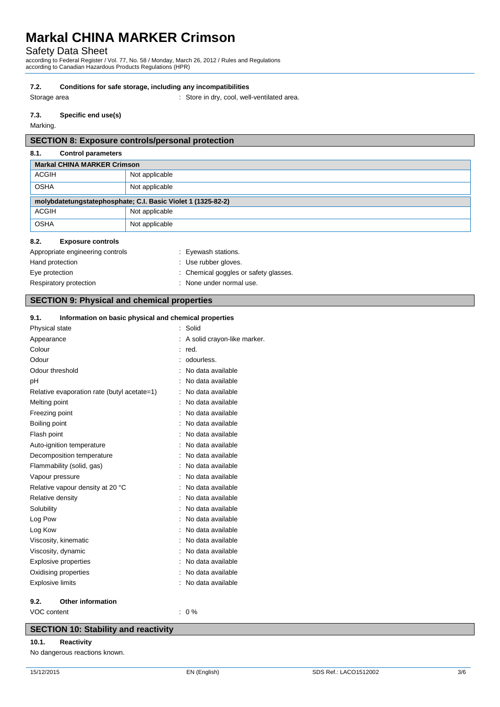# Safety Data Sheet

according to Federal Register / Vol. 77, No. 58 / Monday, March 26, 2012 / Rules and Regulations according to Canadian Hazardous Products Regulations (HPR)

# **7.2. Conditions for safe storage, including any incompatibilities**

Storage area : Store in dry, cool, well-ventilated area.

# **7.3. Specific end use(s)**

Marking.

# **SECTION 8: Exposure controls/personal protection**

# **8.1. Control parameters**

| <b>Markal CHINA MARKER Crimson</b>                           |                |  |
|--------------------------------------------------------------|----------------|--|
| <b>ACGIH</b>                                                 | Not applicable |  |
| <b>OSHA</b>                                                  | Not applicable |  |
| molybdatetungstatephosphate; C.I. Basic Violet 1 (1325-82-2) |                |  |
| <b>ACGIH</b>                                                 | Not applicable |  |
| <b>OSHA</b>                                                  | Not applicable |  |
|                                                              |                |  |

# **8.2. Exposure controls**

| Appropriate engineering controls | : Eyewash stations.                   |
|----------------------------------|---------------------------------------|
| Hand protection                  | : Use rubber gloves.                  |
| Eye protection                   | : Chemical goggles or safety glasses. |
| Respiratory protection           | : None under normal use.              |

# **SECTION 9: Physical and chemical properties**

# **9.1. Information on basic physical and chemical properties**

| Physical state          |                                             | Solid                       |
|-------------------------|---------------------------------------------|-----------------------------|
| Appearance              |                                             | A solid crayon-like marker. |
| Colour                  |                                             | red.                        |
| Odour                   |                                             | odourless.                  |
|                         | Odour threshold                             | No data available           |
| рH                      |                                             | No data available           |
|                         | Relative evaporation rate (butyl acetate=1) | No data available           |
| Melting point           |                                             | No data available           |
| Freezing point          |                                             | No data available           |
| Boiling point           |                                             | No data available           |
| Flash point             |                                             | No data available           |
|                         | Auto-ignition temperature                   | No data available           |
|                         | Decomposition temperature                   | No data available           |
|                         | Flammability (solid, gas)                   | No data available           |
|                         | Vapour pressure                             | No data available           |
|                         | Relative vapour density at 20 °C            | No data available           |
| Relative density        |                                             | No data available           |
| Solubility              |                                             | No data available           |
| Log Pow                 |                                             | No data available           |
| Log Kow                 |                                             | No data available           |
|                         | Viscosity, kinematic                        | No data available           |
|                         | Viscosity, dynamic                          | No data available           |
|                         | Explosive properties                        | No data available           |
|                         | Oxidising properties                        | No data available           |
| <b>Explosive limits</b> |                                             | No data available           |
| 9.2.                    | <b>Other information</b>                    |                             |
| VOC content             |                                             | 0%                          |

# **SECTION 10: Stability and reactivity**

### **10.1. Reactivity**

No dangerous reactions known.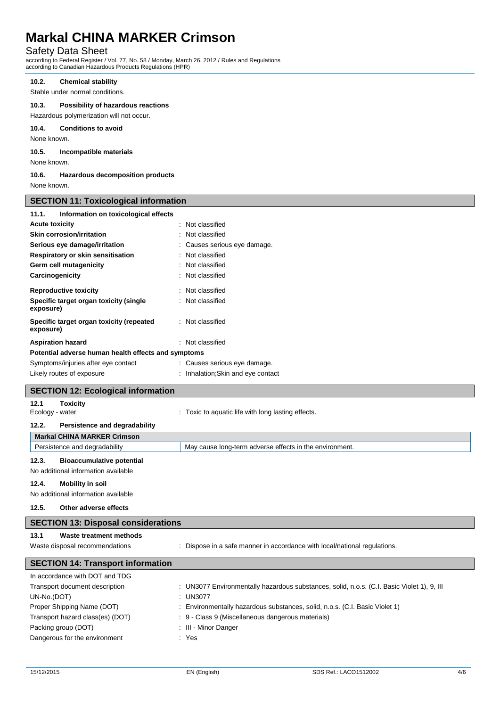# Safety Data Sheet

according to Federal Register / Vol. 77, No. 58 / Monday, March 26, 2012 / Rules and Regulations according to Canadian Hazardous Products Regulations (HPR)

## **10.2. Chemical stability**

Stable under normal conditions.

## **10.3. Possibility of hazardous reactions**

Hazardous polymerization will not occur.

**10.4. Conditions to avoid**

None known.

**10.5. Incompatible materials**

None known.

**10.6. Hazardous decomposition products**

None known.

**SECTION 11: Toxicological information**

| 020 11011 111. TOAIOOIOgiodi IIII 01 IIIQUOIT       |                                                                                            |  |  |  |
|-----------------------------------------------------|--------------------------------------------------------------------------------------------|--|--|--|
| Information on toxicological effects<br>11.1.       |                                                                                            |  |  |  |
| <b>Acute toxicity</b>                               | : Not classified                                                                           |  |  |  |
| <b>Skin corrosion/irritation</b>                    | : Not classified                                                                           |  |  |  |
| Serious eye damage/irritation                       | Causes serious eye damage.                                                                 |  |  |  |
| Respiratory or skin sensitisation                   | : Not classified                                                                           |  |  |  |
| Germ cell mutagenicity                              | Not classified                                                                             |  |  |  |
| Carcinogenicity                                     | Not classified                                                                             |  |  |  |
| <b>Reproductive toxicity</b>                        | : Not classified                                                                           |  |  |  |
| Specific target organ toxicity (single              | : Not classified                                                                           |  |  |  |
| exposure)                                           |                                                                                            |  |  |  |
| Specific target organ toxicity (repeated            | : Not classified                                                                           |  |  |  |
| exposure)                                           |                                                                                            |  |  |  |
| <b>Aspiration hazard</b>                            | : Not classified                                                                           |  |  |  |
| Potential adverse human health effects and symptoms |                                                                                            |  |  |  |
| Symptoms/injuries after eye contact                 | : Causes serious eye damage.                                                               |  |  |  |
| Likely routes of exposure                           | : Inhalation; Skin and eye contact                                                         |  |  |  |
| <b>SECTION 12: Ecological information</b>           |                                                                                            |  |  |  |
|                                                     |                                                                                            |  |  |  |
| 12.1<br><b>Toxicity</b><br>Ecology - water          | : Toxic to aquatic life with long lasting effects.                                         |  |  |  |
|                                                     |                                                                                            |  |  |  |
| 12.2.<br>Persistence and degradability              |                                                                                            |  |  |  |
| <b>Markal CHINA MARKER Crimson</b>                  |                                                                                            |  |  |  |
| Persistence and degradability                       | May cause long-term adverse effects in the environment.                                    |  |  |  |
| 12.3.<br><b>Bioaccumulative potential</b>           |                                                                                            |  |  |  |
| No additional information available                 |                                                                                            |  |  |  |
| 12.4.<br><b>Mobility in soil</b>                    |                                                                                            |  |  |  |
| No additional information available                 |                                                                                            |  |  |  |
| 12.5.<br>Other adverse effects                      |                                                                                            |  |  |  |
|                                                     |                                                                                            |  |  |  |
| <b>SECTION 13: Disposal considerations</b>          |                                                                                            |  |  |  |
| 13.1<br><b>Waste treatment methods</b>              |                                                                                            |  |  |  |
| Waste disposal recommendations                      | : Dispose in a safe manner in accordance with local/national regulations.                  |  |  |  |
| <b>SECTION 14: Transport information</b>            |                                                                                            |  |  |  |
| In accordance with DOT and TDG                      |                                                                                            |  |  |  |
| Transport document description                      | : UN3077 Environmentally hazardous substances, solid, n.o.s. (C.I. Basic Violet 1), 9, III |  |  |  |
| UN-No.(DOT)                                         | <b>UN3077</b>                                                                              |  |  |  |
| Proper Shipping Name (DOT)                          | Environmentally hazardous substances, solid, n.o.s. (C.I. Basic Violet 1)                  |  |  |  |
| Transport hazard class(es) (DOT)                    | : 9 - Class 9 (Miscellaneous dangerous materials)                                          |  |  |  |
| Packing group (DOT)                                 | III - Minor Danger                                                                         |  |  |  |
|                                                     |                                                                                            |  |  |  |

Dangerous for the environment : Yes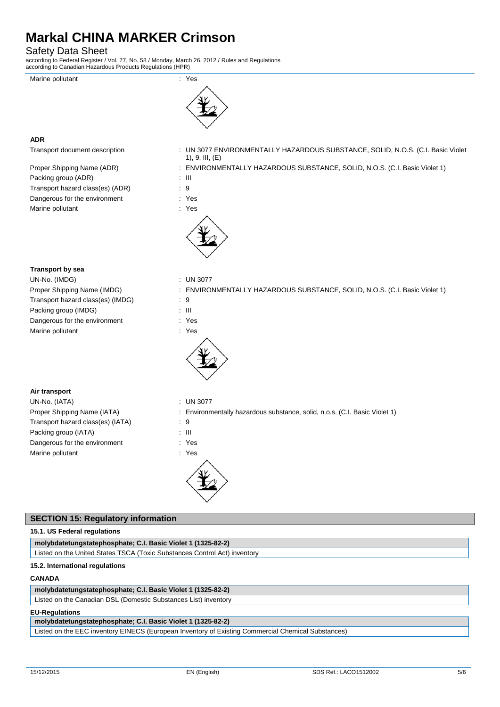# Safety Data Sheet

according to Federal Register / Vol. 77, No. 58 / Monday, March 26, 2012 / Rules and Regulations according to Canadian Hazardous Products Regulations (HPR)





# **ADR**

| Proper Shipping Name (ADR)       | : EN\ |
|----------------------------------|-------|
| Packing group (ADR)              | : III |
| Transport hazard class(es) (ADR) | - 9   |
| Dangerous for the environment    | : Yes |
| Marine pollutant                 | : Yes |

## Transport document description : UN 3077 ENVIRONMENTALLY HAZARDOUS SUBSTANCE, SOLID, N.O.S. (C.I. Basic Violet 1), 9, III, (E)

: ENVIRONMENTALLY HAZARDOUS SUBSTANCE, SOLID, N.O.S. (C.I. Basic Violet 1)

| × |  |
|---|--|
|   |  |
|   |  |
|   |  |

- 
- 



**Transport by sea**

UN-No. (IMDG) : UN 3077 Transport hazard class(es) (IMDG) : 9 Packing group (IMDG) : III Dangerous for the environment : Yes Marine pollutant in the set of the set of the set of the set of the set of the set of the set of the set of the set of the set of the set of the set of the set of the set of the set of the set of the set of the set of the

- 
- Proper Shipping Name (IMDG) : ENVIRONMENTALLY HAZARDOUS SUBSTANCE, SOLID, N.O.S. (C.I. Basic Violet 1)
	-
	-
	-
	-



# **Air transport**

UN-No. (IATA) : UN 3077 Transport hazard class(es) (IATA) : 9 Packing group (IATA) : III Dangerous for the environment : Yes Marine pollutant in the set of the set of the set of the set of the set of the set of the set of the set of the set of the set of the set of the set of the set of the set of the set of the set of the set of the set of the

- Proper Shipping Name (IATA) : Environmentally hazardous substance, solid, n.o.s. (C.I. Basic Violet 1)
	-
	-
	-
	-



# **SECTION 15: Regulatory information 15.1. US Federal regulations molybdatetungstatephosphate; C.I. Basic Violet 1 (1325-82-2)** Listed on the United States TSCA (Toxic Substances Control Act) inventory **15.2. International regulations**

# **CANADA**

**molybdatetungstatephosphate; C.I. Basic Violet 1 (1325-82-2)**

Listed on the Canadian DSL (Domestic Substances List) inventory

# **EU-Regulations**

**molybdatetungstatephosphate; C.I. Basic Violet 1 (1325-82-2)**

Listed on the EEC inventory EINECS (European Inventory of Existing Commercial Chemical Substances)